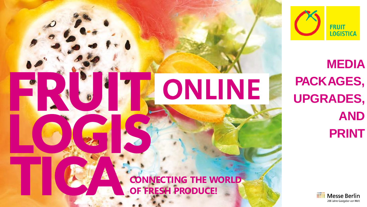

ONLINE

FRUIT,

LOGIS

**MEDIA PACKAGES, UPGRADES, AND PRINT**



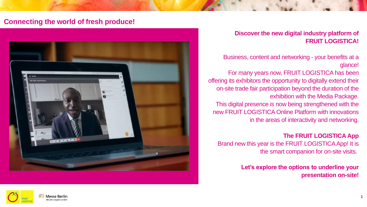## **Connecting the world of fresh produce!**



### **Discover the new digital industry platform of FRUIT LOGISTICA!**

Business, content and networking - your benefits at a glance!

For many years now, FRUIT LOGISTICA has been offering its exhibitors the opportunity to digitally extend their on-site trade fair participation beyond the duration of the exhibition with the Media Package. This digital presence is now being strengthened with the new FRUIT LOGISTICA Online Platform with innovations in the areas of interactivity and networking.

**The FRUIT LOGISTICA App** Brand new this year is the FRUIT LOGISTICA App! It is the smart companion for on-site visits.

> **Let's explore the options to underline your presentation on-site!**

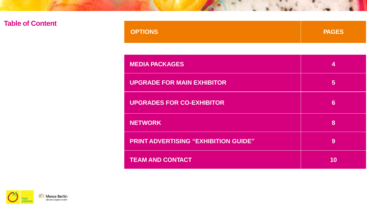# **Table of Content**

| <b>OPTIONS</b><br><b>PAGES</b> |
|--------------------------------|
|--------------------------------|

| <b>MEDIA PACKAGES</b>                       | 4  |
|---------------------------------------------|----|
| <b>UPGRADE FOR MAIN EXHIBITOR</b>           | 5  |
| <b>UPGRADES FOR CO-EXHIBITOR</b>            | 6  |
| <b>NETWORK</b>                              | 8  |
| <b>PRINT ADVERTISING "EXHIBITION GUIDE"</b> | 9  |
| <b>TEAM AND CONTACT</b>                     | 10 |

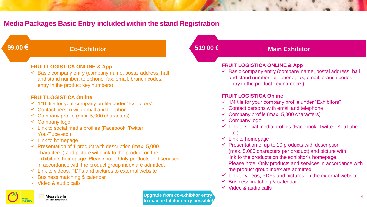# **Media Packages Basic Entry included within the stand Registration**

| 99.00 $\epsilon$ | <b>Co-Exhibitor</b>                                                                                                                                                                                                                                                                                                       | 519.00€ | <b>Main Exhibitor</b>                                                                                                                                                                                                                                                                                                               |
|------------------|---------------------------------------------------------------------------------------------------------------------------------------------------------------------------------------------------------------------------------------------------------------------------------------------------------------------------|---------|-------------------------------------------------------------------------------------------------------------------------------------------------------------------------------------------------------------------------------------------------------------------------------------------------------------------------------------|
|                  | <b>FRUIT LOGISTICA ONLINE &amp; App</b><br>$\checkmark$ Basic company entry (company name, postal address, hall<br>and stand number, telephone, fax, email, branch codes,<br>entry in the product key numbers)                                                                                                            |         | <b>FRUIT LOGISTICA ONLINE &amp; App</b><br>$\checkmark$ Basic company entry (company name, postal address, hall<br>and stand number, telephone, fax, email, branch codes,<br>entry in the product key numbers)                                                                                                                      |
|                  | <b>FRUIT LOGISTICA Online</b><br>√ 1/16 tile for your company profile under "Exhibitors"<br>$\checkmark$ Contact person with email and telephone<br>$\checkmark$ Company profile (max. 5,000 characters)<br>$\checkmark$ Company logo<br>$\checkmark$ Link to social media profiles (Facebook, Twitter,<br>You-Tube etc.) |         | <b>FRUIT LOGISTICA Online</b><br>$\checkmark$ 1/4 tile for your company profile under "Exhibitors"<br>$\checkmark$ Contact persons with email and telephone<br>$\checkmark$ Company profile (max. 5,000 characters)<br>$\checkmark$ Company logo<br>$\checkmark$ Link to social media profiles (Facebook, Twitter, YouTube<br>etc.) |

- $\checkmark$  Link to homepage
- $\checkmark$  Presentation of 1 product with description (max. 5,000) characters.) and picture with link to the product on the exhibitor's homepage. Please note: Only products and services in accordance with the product group index are admitted.
- $\checkmark$  Link to videos, PDFs and pictures to external website
- $\checkmark$  Business matching & calendar
- ✓ Video & audio calls



**IIIII** Messe Berlin 200 Jahre Gastrieher von V

**Upgrade from co-exhibitor entry to main exhibitor entry possible!**

- ✓ Link to homepage
- $\checkmark$  Presentation of up to 10 products with description (max. 5,000 characters per product) and picture with link to the products on the exhibitor's homepage.
	- Please note: Only products and services in accordance with the product group index are admitted.
- $\checkmark$  Link to videos, PDFs and pictures on the external website
- $\checkmark$  Business matching & calendar
- ✓ Video & audio calls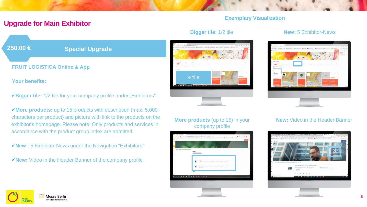### **Exemplary Visualization**

## **Upgrade for Main Exhibitor**



**Your benefits:**

✓**Bigger tile:** 1/2 tile for your company profile under "Exhibitors"

✓**More products:** up to 15 products with description (max. 5,000 characters per product) and picture with link to the products on the exhibitor's homepage. Please note: Only products and services in accordance with the product group index are admitted.

✓**New :** 5 Exhibitor-News under the Navigation "Exhibitors"

✓**New:** Video in the Header Banner of the company profile

#### **Bigger tile:** 1/2 tile



#### **More products** (up to 15) in your company profile



#### **New:** 5 Exhibitor-News



#### **New:** Video in the Header Banner

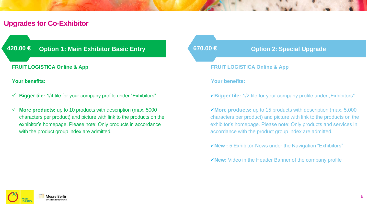# **Upgrades for Co-Exhibitor**

#### **FRUIT LOGISTICA Online & App**

**Your benefits:**

- ✓ **Bigger tile:** 1/4 tile for your company profile under "Exhibitors"
- ✓ **More products:** up to 10 products with description (max. 5000 characters per product) and picture with link to the products on the exhibitor's homepage. Please note: Only products in accordance with the product group index are admitted.



✓**More products:** up to 15 products with description (max. 5,000 characters per product) and picture with link to the products on the exhibitor's homepage. Please note: Only products and services in accordance with the product group index are admitted.

✓**New :** 5 Exhibitor-News under the Navigation "Exhibitors"

✓**New:** Video in the Header Banner of the company profile

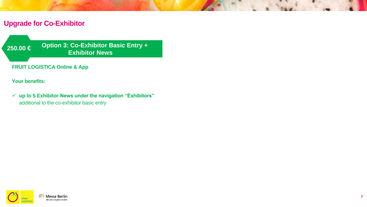# **Upgrade for Co-Exhibitor**

**Option 3: Co-Exhibitor Basic Entry + Exhibitor News 250.00 €**

**FRUIT LOGISTICA Online & App**

**Your benefits:**

✓ **up to 5 Exhibitor-News under the navigation "Exhibitors"**  additional to the co-exhibitor basic entry

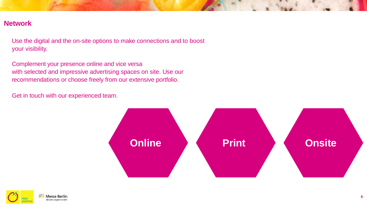## **Network**

**200.000 b 250.00 €** Use the digital and the on-site options to make connections and to boost

Complement your presence online and vice versa with selected and impressive advertising spaces on site. Use our recommendations or choose freely from our extensive portfolio.

**250.00 €** Get in touch with our experienced team.



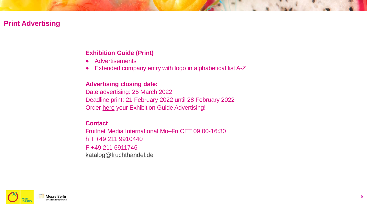# **Print Advertising**

## **Exhibition Guide (Print)**

- Advertisements
- Extended company entry with logo in alphabetical list A-Z

### **Advertising closing date:**

Date advertising: 25 March 2022 Deadline print: 21 February 2022 until 28 February 2022 Order [here](https://www.fruitlogistica.com/en/about/exhibition-guide/advertisement-order-exhibition-guide.html) your Exhibition Guide Advertising!

### **Contact**

Fruitnet Media International Mo–Fri CET 09:00-16:30 h T +49 211 9910440 F +49 211 6911746 [katalog@fruchthandel.de](mailto:katalog@fruchthandel.de)